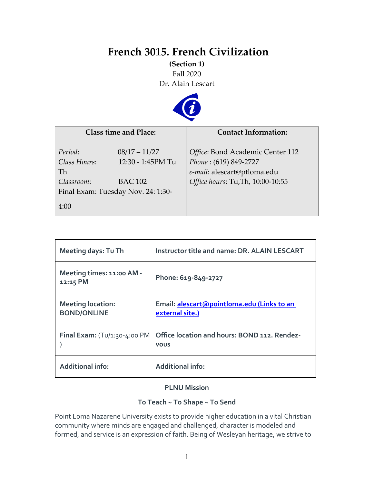# **French 3015. French Civilization**

**(Section 1)** Fall 2020 Dr. Alain Lescart



| <b>Class time and Place:</b>                                                                                                   |                   | <b>Contact Information:</b>                                                                                                   |  |
|--------------------------------------------------------------------------------------------------------------------------------|-------------------|-------------------------------------------------------------------------------------------------------------------------------|--|
| Period:<br>$08/17 - 11/27$<br>Class Hours:<br>Th<br><b>BAC 102</b><br>Classroom:<br>Final Exam: Tuesday Nov. 24: 1:30-<br>4:00 | 12:30 - 1:45PM Tu | Office: Bond Academic Center 112<br>Phone: (619) 849-2727<br>e-mail: alescart@ptloma.edu<br>Office hours: Tu, Th, 10:00-10:55 |  |

| Meeting days: Tu Th                            | Instructor title and name: DR. ALAIN LESCART                  |
|------------------------------------------------|---------------------------------------------------------------|
| Meeting times: 11:00 AM -<br>12:15 PM          | Phone: 619-849-2727                                           |
| <b>Meeting location:</b><br><b>BOND/ONLINE</b> | Email: alescart@pointloma.edu (Links to an<br>external site.) |
| <b>Final Exam:</b> $(Tu/1:30-4:00 PM)$         | Office location and hours: BOND 112. Rendez-<br><b>VOUS</b>   |
| <b>Additional info:</b>                        | <b>Additional info:</b>                                       |

## **PLNU Mission**

## **To Teach ~ To Shape ~ To Send**

Point Loma Nazarene University exists to provide higher education in a vital Christian community where minds are engaged and challenged, character is modeled and formed, and service is an expression of faith. Being of Wesleyan heritage, we strive to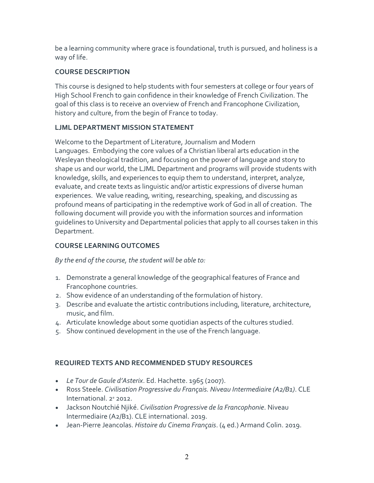be a learning community where grace is foundational, truth is pursued, and holiness is a way of life.

## **COURSE DESCRIPTION**

This course is designed to help students with four semesters at college or four years of High School French to gain confidence in their knowledge of French Civilization. The goal of this class is to receive an overview of French and Francophone Civilization, history and culture, from the begin of France to today.

# **LJML DEPARTMENT MISSION STATEMENT**

Welcome to the Department of Literature, Journalism and Modern Languages. Embodying the core values of a Christian liberal arts education in the Wesleyan theological tradition, and focusing on the power of language and story to shape us and our world, the LJML Department and programs will provide students with knowledge, skills, and experiences to equip them to understand, interpret, analyze, evaluate, and create texts as linguistic and/or artistic expressions of diverse human experiences. We value reading, writing, researching, speaking, and discussing as profound means of participating in the redemptive work of God in all of creation. The following document will provide you with the information sources and information guidelines to University and Departmental policies that apply to all courses taken in this Department.

## **COURSE LEARNING OUTCOMES**

*By the end of the course, the student will be able to:*

- 1. Demonstrate a general knowledge of the geographical features of France and Francophone countries.
- 2. Show evidence of an understanding of the formulation of history.
- 3. Describe and evaluate the artistic contributions including, literature, architecture, music, and film.
- 4. Articulate knowledge about some quotidian aspects of the cultures studied.
- 5. Show continued development in the use of the French language.

# **REQUIRED TEXTS AND RECOMMENDED STUDY RESOURCES**

- *Le Tour de Gaule d'Asterix*. Ed. Hachette. 1965 (2007).
- Ross Steele. *Civilisation Progressive du Français. Niveau Intermediaire (A2/B1)*. CLE International. 2e 2012.
- Jackson Noutchié Njiké. *Civilisation Progressive de la Francophonie*. Niveau Intermediaire (A2/B1). CLE international. 2019.
- Jean-Pierre Jeancolas. *Histoire du Cinema Français*. (4 ed.) Armand Colin. 2019.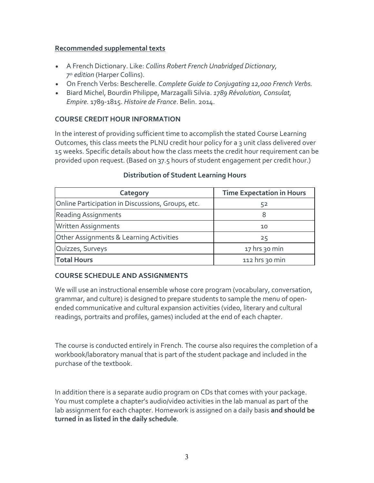#### **Recommended supplemental texts**

- A French Dictionary. Like: *Collins Robert French Unabridged Dictionary, 7th edition* (Harper Collins).
- On French Verbs: Bescherelle. *Complete Guide to Conjugating 12,000 French Verbs.*
- Biard Michel, Bourdin Philippe, Marzagalli Silvia. *1789 Révolution, Consulat, Empire.* 1789-1815. *Histoire de France*. Belin. 2014.

## **COURSE CREDIT HOUR INFORMATION**

In the interest of providing sufficient time to accomplish the stated Course Learning Outcomes, this class meets the PLNU credit hour policy for a 3 unit class delivered over 15 weeks. Specific details about how the class meets the credit hour requirement can be provided upon request. (Based on 37.5 hours of student engagement per credit hour.)

| Category                                          | <b>Time Expectation in Hours</b> |  |
|---------------------------------------------------|----------------------------------|--|
| Online Participation in Discussions, Groups, etc. | 52                               |  |
| <b>Reading Assignments</b>                        | 8                                |  |
| Written Assignments                               | 10                               |  |
| Other Assignments & Learning Activities           | 25                               |  |
| Quizzes, Surveys                                  | 17 hrs 30 min                    |  |
| <b>Total Hours</b>                                | 112 hrs 30 min                   |  |

## **Distribution of Student Learning Hours**

## **COURSE SCHEDULE AND ASSIGNMENTS**

We will use an instructional ensemble whose core program (vocabulary, conversation, grammar, and culture) is designed to prepare students to sample the menu of openended communicative and cultural expansion activities (video, literary and cultural readings, portraits and profiles, games) included at the end of each chapter.

The course is conducted entirely in French. The course also requires the completion of a workbook/laboratory manual that is part of the student package and included in the purchase of the textbook.

In addition there is a separate audio program on CDs that comes with your package. You must complete a chapter's audio/video activities in the lab manual as part of the lab assignment for each chapter. Homework is assigned on a daily basis **and should be turned in as listed in the daily schedule**.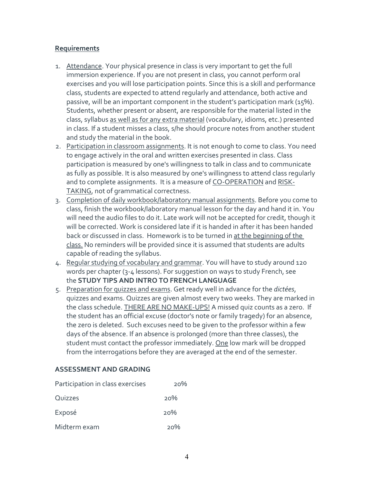#### **Requirements**

- 1. Attendance. Your physical presence in class is very important to get the full immersion experience. If you are not present in class, you cannot perform oral exercises and you will lose participation points. Since this is a skill and performance class, students are expected to attend regularly and attendance, both active and passive, will be an important component in the student's participation mark (15%). Students, whether present or absent, are responsible for the material listed in the class, syllabus as well as for any extra material (vocabulary, idioms, etc.) presented in class. If a student misses a class, s/he should procure notes from another student and study the material in the book.
- 2. Participation in classroom assignments. It is not enough to come to class. You need to engage actively in the oral and written exercises presented in class. Class participation is measured by one's willingness to talk in class and to communicate as fully as possible. It is also measured by one's willingness to attend class regularly and to complete assignments. It is a measure of CO-OPERATION and RISK-TAKING, not of grammatical correctness.
- 3. Completion of daily workbook/laboratory manual assignments. Before you come to class, finish the workbook/laboratory manual lesson for the day and hand it in. You will need the audio files to do it. Late work will not be accepted for credit, though it will be corrected. Work is considered late if it is handed in after it has been handed back or discussed in class. Homework is to be turned in at the beginning of the class. No reminders will be provided since it is assumed that students are adults capable of reading the syllabus.
- 4. Regular studying of vocabulary and grammar. You will have to study around 120 words per chapter (3-4 lessons). For suggestion on ways to study French, see the **STUDY TIPS AND INTRO TO FRENCH LANGUAGE**
- 5. Preparation for quizzes and exams. Get ready well in advance for the *dictées*, quizzes and exams. Quizzes are given almost every two weeks. They are marked in the class schedule. THERE ARE NO MAKE-UPS! A missed quiz counts as a zero. If the student has an official excuse (doctor's note or family tragedy) for an absence, the zero is deleted. Such excuses need to be given to the professor within a few days of the absence. If an absence is prolonged (more than three classes), the student must contact the professor immediately. One low mark will be dropped from the interrogations before they are averaged at the end of the semester.

## **ASSESSMENT AND GRADING**

| Participation in class exercises | 20% |
|----------------------------------|-----|
| Quizzes                          | 20% |
| Exposé                           | 20% |
| Midterm exam                     | 20% |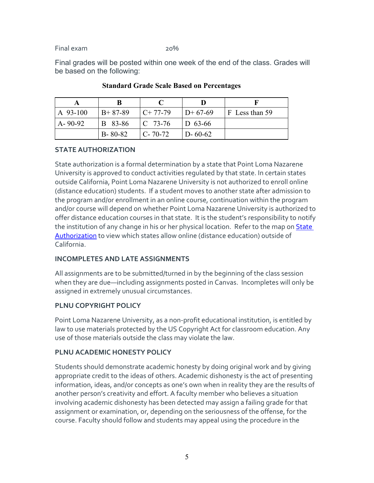Final exam 20%

Final grades will be posted within one week of the end of the class. Grades will be based on the following:

| A 93-100      | $B+87-89$      | $C+77-79$        | $D+67-69$     | F Less than 59 |
|---------------|----------------|------------------|---------------|----------------|
| $A - 90 - 92$ | <b>B</b> 83-86 | $\sqrt{C}$ 73-76 | $ID$ 63-66    |                |
|               | $B - 80 - 82$  | $C - 70 - 72$    | $D - 60 - 62$ |                |

#### **Standard Grade Scale Based on Percentages**

## **STATE AUTHORIZATION**

State authorization is a formal determination by a state that Point Loma Nazarene University is approved to conduct activities regulated by that state. In certain states outside California, Point Loma Nazarene University is not authorized to enroll online (distance education) students. If a student moves to another state after admission to the program and/or enrollment in an online course, continuation within the program and/or course will depend on whether Point Loma Nazarene University is authorized to offer distance education courses in that state. It is the student's responsibility to notify the institution of any change in his or her physical location. Refer to the map on [State](https://www.pointloma.edu/offices/office-institutional-effectiveness-research/disclosures)  [Authorization](https://www.pointloma.edu/offices/office-institutional-effectiveness-research/disclosures) to view which states allow online (distance education) outside of California.

# **INCOMPLETES AND LATE ASSIGNMENTS**

All assignments are to be submitted/turned in by the beginning of the class session when they are due—including assignments posted in Canvas. Incompletes will only be assigned in extremely unusual circumstances.

# **PLNU COPYRIGHT POLICY**

Point Loma Nazarene University, as a non-profit educational institution, is entitled by law to use materials protected by the US Copyright Act for classroom education. Any use of those materials outside the class may violate the law.

# **PLNU ACADEMIC HONESTY POLICY**

Students should demonstrate academic honesty by doing original work and by giving appropriate credit to the ideas of others. Academic dishonesty is the act of presenting information, ideas, and/or concepts as one's own when in reality they are the results of another person's creativity and effort. A faculty member who believes a situation involving academic dishonesty has been detected may assign a failing grade for that assignment or examination, or, depending on the seriousness of the offense, for the course. Faculty should follow and students may appeal using the procedure in the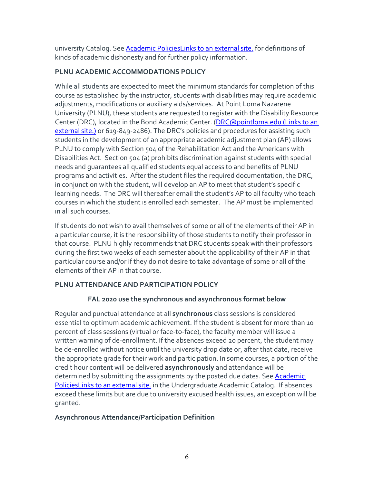university Catalog. See **[Academic PoliciesLinks](http://catalog.pointloma.edu/content.php?catoid=18&navoid=1278) to an external site**, for definitions of kinds of academic dishonesty and for further policy information.

# **PLNU ACADEMIC ACCOMMODATIONS POLICY**

While all students are expected to meet the minimum standards for completion of this course as established by the instructor, students with disabilities may require academic adjustments, modifications or auxiliary aids/services. At Point Loma Nazarene University (PLNU), these students are requested to register with the Disability Resource Center (DRC), located in the Bond Academic Center. [\(DRC@pointloma.edu](https://mail.google.com/mail/?view=cm&fs=1&tf=1&to=DRC@pointloma.edu) (Links to an [external](https://mail.google.com/mail/?view=cm&fs=1&tf=1&to=DRC@pointloma.edu) site.) or 619-849-2486). The DRC's policies and procedures for assisting such students in the development of an appropriate academic adjustment plan (AP) allows PLNU to comply with Section 504 of the Rehabilitation Act and the Americans with Disabilities Act. Section 504 (a) prohibits discrimination against students with special needs and guarantees all qualified students equal access to and benefits of PLNU programs and activities. After the student files the required documentation, the DRC, in conjunction with the student, will develop an AP to meet that student's specific learning needs. The DRC will thereafter email the student's AP to all faculty who teach courses in which the student is enrolled each semester. The AP must be implemented in all such courses.

If students do not wish to avail themselves of some or all of the elements of their AP in a particular course, it is the responsibility of those students to notify their professor in that course. PLNU highly recommends that DRC students speak with their professors during the first two weeks of each semester about the applicability of their AP in that particular course and/or if they do not desire to take advantage of some or all of the elements of their AP in that course.

# **PLNU ATTENDANCE AND PARTICIPATION POLICY**

# **FAL 2020 use the synchronous and asynchronous format below**

Regular and punctual attendance at all **synchronous** class sessions is considered essential to optimum academic achievement. If the student is absent for more than 10 percent of class sessions (virtual or face-to-face), the faculty member will issue a written warning of de-enrollment. If the absences exceed 20 percent, the student may be de-enrolled without notice until the university drop date or, after that date, receive the appropriate grade for their work and participation. In some courses, a portion of the credit hour content will be delivered **asynchronously** and attendance will be determined by submitting the assignments by the posted due dates. See Academic [PoliciesLinks](https://catalog.pointloma.edu/content.php?catoid=46&navoid=2650#Class_Attendance) to an external site. in the Undergraduate Academic Catalog. If absences exceed these limits but are due to university excused health issues, an exception will be granted.

## **Asynchronous Attendance/Participation Definition**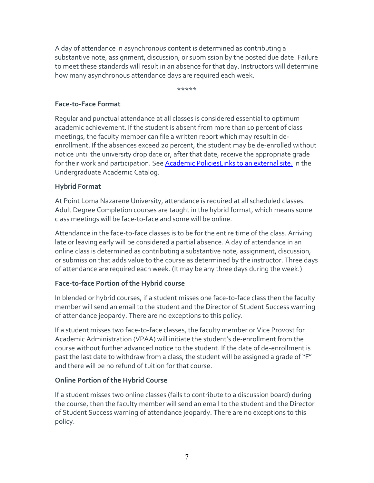A day of attendance in asynchronous content is determined as contributing a substantive note, assignment, discussion, or submission by the posted due date. Failure to meet these standards will result in an absence for that day. Instructors will determine how many asynchronous attendance days are required each week.

\*\*\*\*\*

#### **Face-to-Face Format**

Regular and punctual attendance at all classes is considered essential to optimum academic achievement. If the student is absent from more than 10 percent of class meetings, the faculty member can file a written report which may result in deenrollment. If the absences exceed 20 percent, the student may be de-enrolled without notice until the university drop date or, after that date, receive the appropriate grade for their work and participation. See **[Academic PoliciesLinks](http://catalog.pointloma.edu/content.php?catoid=18&navoid=1278) to an external site**, in the Undergraduate Academic Catalog.

#### **Hybrid Format**

At Point Loma Nazarene University, attendance is required at all scheduled classes. Adult Degree Completion courses are taught in the hybrid format, which means some class meetings will be face-to-face and some will be online.

Attendance in the face-to-face classes is to be for the entire time of the class. Arriving late or leaving early will be considered a partial absence. A day of attendance in an online class is determined as contributing a substantive note, assignment, discussion, or submission that adds value to the course as determined by the instructor. Three days of attendance are required each week. (It may be any three days during the week.)

## **Face-to-face Portion of the Hybrid course**

In blended or hybrid courses, if a student misses one face-to-face class then the faculty member will send an email to the student and the Director of Student Success warning of attendance jeopardy. There are no exceptions to this policy.

If a student misses two face-to-face classes, the faculty member or Vice Provost for Academic Administration (VPAA) will initiate the student's de-enrollment from the course without further advanced notice to the student. If the date of de-enrollment is past the last date to withdraw from a class, the student will be assigned a grade of "F" and there will be no refund of tuition for that course.

## **Online Portion of the Hybrid Course**

If a student misses two online classes (fails to contribute to a discussion board) during the course, then the faculty member will send an email to the student and the Director of Student Success warning of attendance jeopardy. There are no exceptions to this policy.